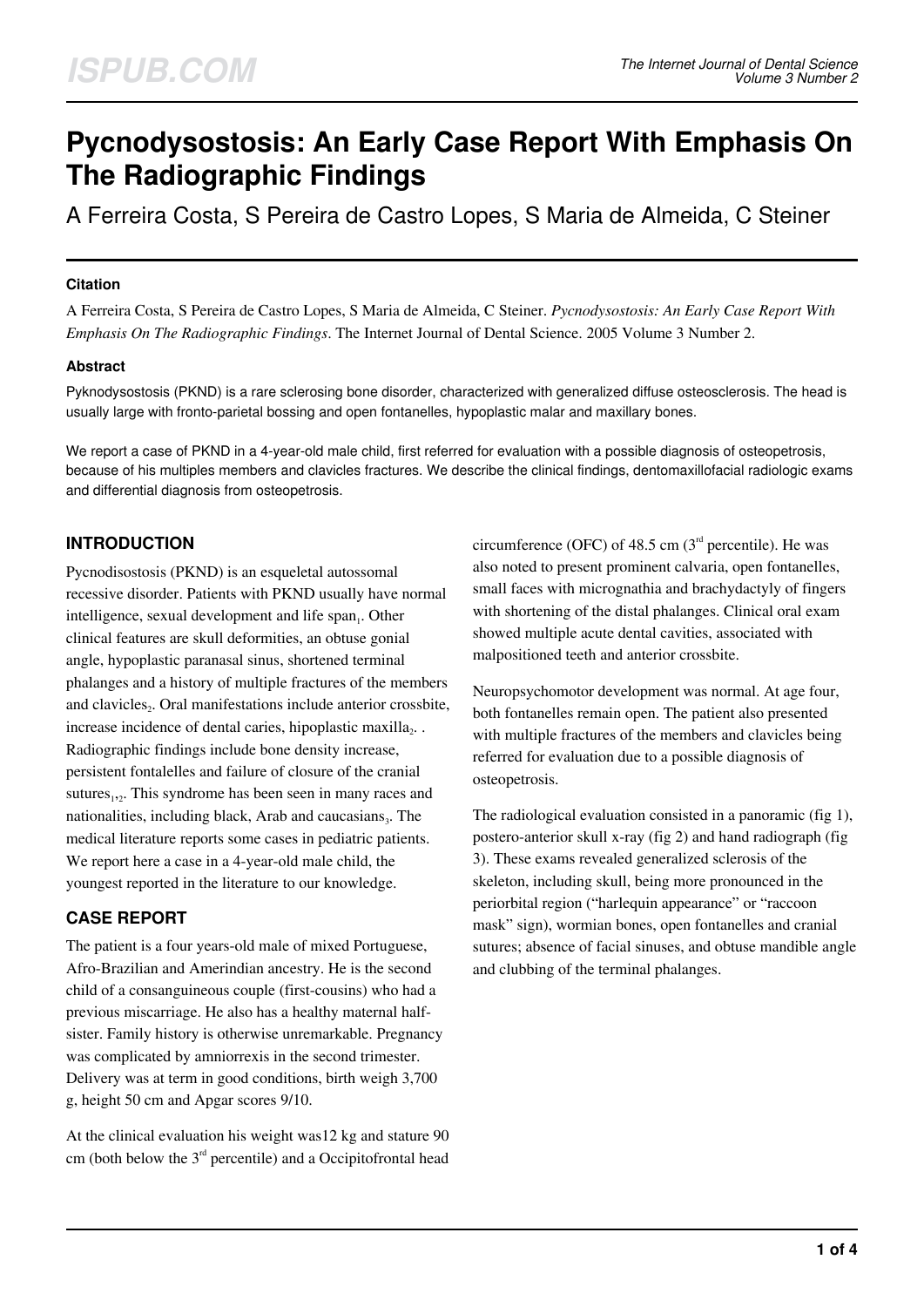# **Pycnodysostosis: An Early Case Report With Emphasis On The Radiographic Findings**

A Ferreira Costa, S Pereira de Castro Lopes, S Maria de Almeida, C Steiner

## **Citation**

A Ferreira Costa, S Pereira de Castro Lopes, S Maria de Almeida, C Steiner. *Pycnodysostosis: An Early Case Report With Emphasis On The Radiographic Findings*. The Internet Journal of Dental Science. 2005 Volume 3 Number 2.

## **Abstract**

Pyknodysostosis (PKND) is a rare sclerosing bone disorder, characterized with generalized diffuse osteosclerosis. The head is usually large with fronto-parietal bossing and open fontanelles, hypoplastic malar and maxillary bones.

We report a case of PKND in a 4-year-old male child, first referred for evaluation with a possible diagnosis of osteopetrosis, because of his multiples members and clavicles fractures. We describe the clinical findings, dentomaxillofacial radiologic exams and differential diagnosis from osteopetrosis.

# **INTRODUCTION**

Pycnodisostosis (PKND) is an esqueletal autossomal recessive disorder. Patients with PKND usually have normal intelligence, sexual development and life span<sub>1</sub>. Other clinical features are skull deformities, an obtuse gonial angle, hypoplastic paranasal sinus, shortened terminal phalanges and a history of multiple fractures of the members and clavicles<sub>2</sub>. Oral manifestations include anterior crossbite, increase incidence of dental caries, hipoplastic maxilla $_2$ . Radiographic findings include bone density increase, persistent fontalelles and failure of closure of the cranial sutures<sub>1,2</sub>. This syndrome has been seen in many races and nationalities, including black, Arab and caucasians<sub>3</sub>. The medical literature reports some cases in pediatric patients. We report here a case in a 4-year-old male child, the youngest reported in the literature to our knowledge.

# **CASE REPORT**

The patient is a four years-old male of mixed Portuguese, Afro-Brazilian and Amerindian ancestry. He is the second child of a consanguineous couple (first-cousins) who had a previous miscarriage. He also has a healthy maternal halfsister. Family history is otherwise unremarkable. Pregnancy was complicated by amniorrexis in the second trimester. Delivery was at term in good conditions, birth weigh 3,700 g, height 50 cm and Apgar scores 9/10.

At the clinical evaluation his weight was12 kg and stature 90 cm (both below the  $3<sup>rd</sup>$  percentile) and a Occipitofrontal head circumference (OFC) of 48.5 cm  $(3<sup>rd</sup>$  percentile). He was also noted to present prominent calvaria, open fontanelles, small faces with micrognathia and brachydactyly of fingers with shortening of the distal phalanges. Clinical oral exam showed multiple acute dental cavities, associated with malpositioned teeth and anterior crossbite.

Neuropsychomotor development was normal. At age four, both fontanelles remain open. The patient also presented with multiple fractures of the members and clavicles being referred for evaluation due to a possible diagnosis of osteopetrosis.

The radiological evaluation consisted in a panoramic (fig 1), postero-anterior skull x-ray (fig 2) and hand radiograph (fig 3). These exams revealed generalized sclerosis of the skeleton, including skull, being more pronounced in the periorbital region ("harlequin appearance" or "raccoon mask" sign), wormian bones, open fontanelles and cranial sutures; absence of facial sinuses, and obtuse mandible angle and clubbing of the terminal phalanges.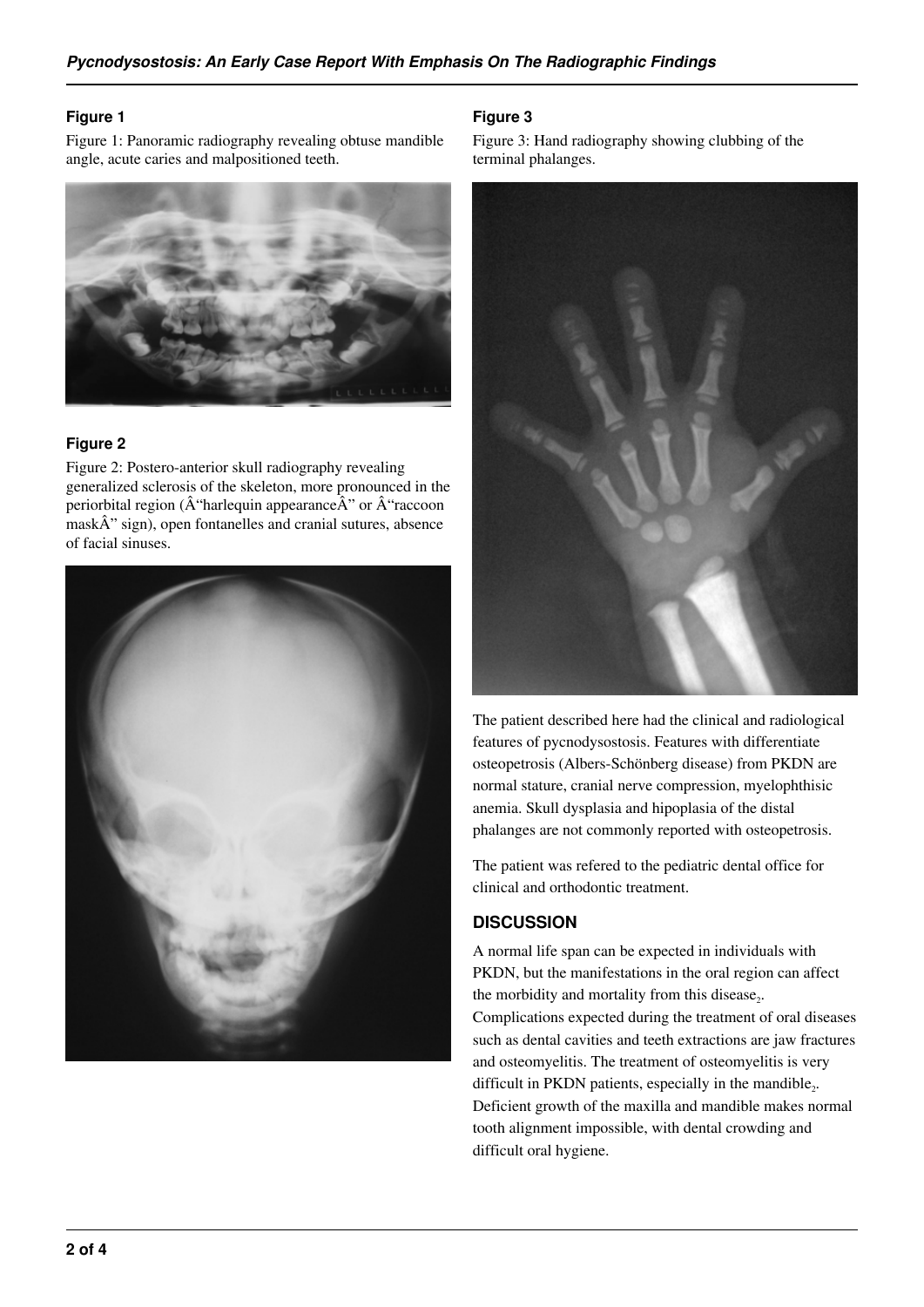#### **Figure 1**

Figure 1: Panoramic radiography revealing obtuse mandible angle, acute caries and malpositioned teeth.



#### **Figure 2**

Figure 2: Postero-anterior skull radiography revealing generalized sclerosis of the skeleton, more pronounced in the periorbital region ( $\hat{A}$ "harlequin appearance $\hat{A}$ " or  $\hat{A}$ "raccoon  $mask$ <sup>2</sup> sign), open fontanelles and cranial sutures, absence of facial sinuses.



#### **Figure 3**

Figure 3: Hand radiography showing clubbing of the terminal phalanges.



The patient described here had the clinical and radiological features of pycnodysostosis. Features with differentiate osteopetrosis (Albers-Schönberg disease) from PKDN are normal stature, cranial nerve compression, myelophthisic anemia. Skull dysplasia and hipoplasia of the distal phalanges are not commonly reported with osteopetrosis.

The patient was refered to the pediatric dental office for clinical and orthodontic treatment.

## **DISCUSSION**

difficult oral hygiene.

A normal life span can be expected in individuals with PKDN, but the manifestations in the oral region can affect the morbidity and mortality from this disease<sub>2</sub>. Complications expected during the treatment of oral diseases such as dental cavities and teeth extractions are jaw fractures and osteomyelitis. The treatment of osteomyelitis is very difficult in PKDN patients, especially in the mandible<sub>2</sub>. Deficient growth of the maxilla and mandible makes normal tooth alignment impossible, with dental crowding and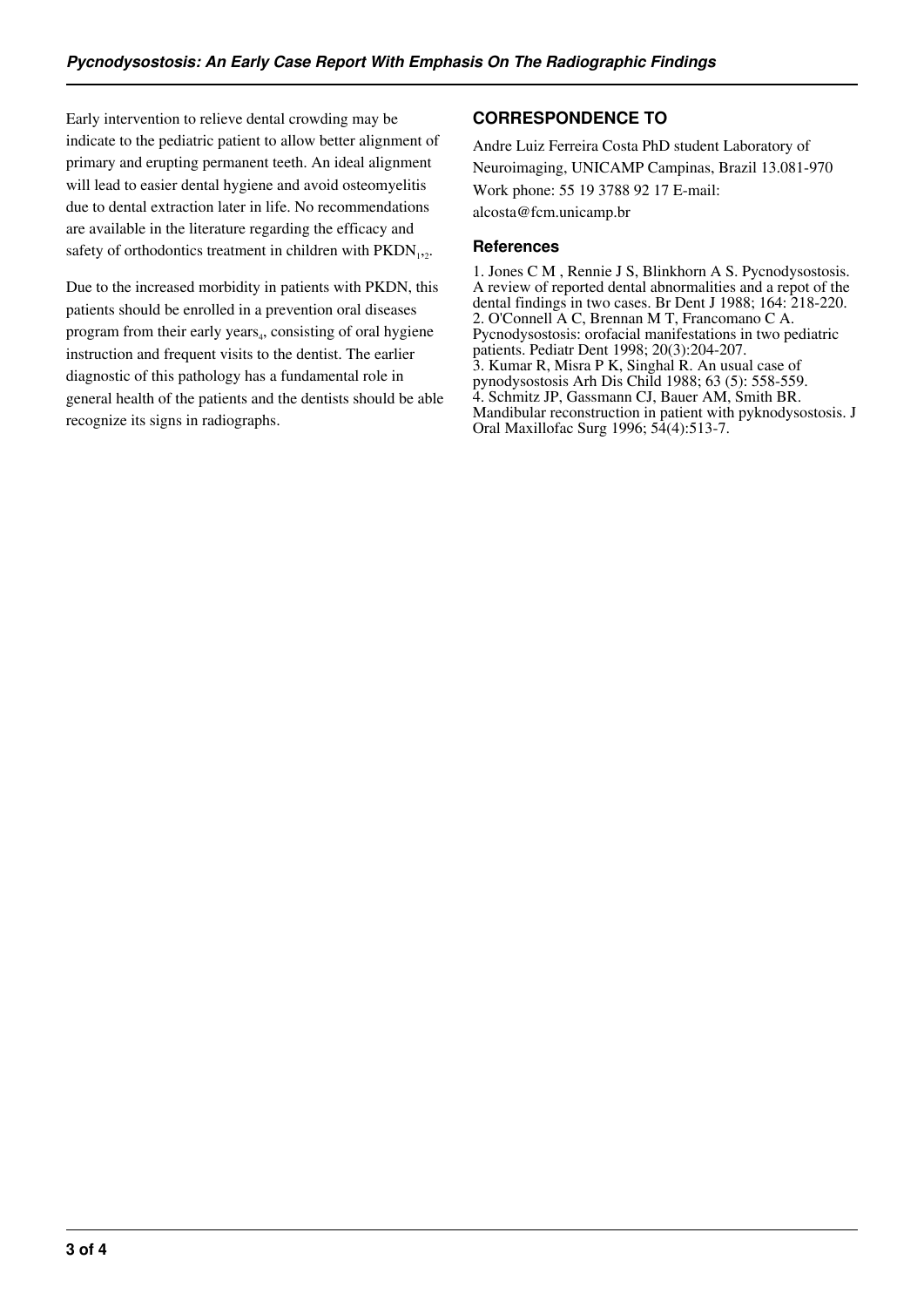Early intervention to relieve dental crowding may be indicate to the pediatric patient to allow better alignment of primary and erupting permanent teeth. An ideal alignment will lead to easier dental hygiene and avoid osteomyelitis due to dental extraction later in life. No recommendations are available in the literature regarding the efficacy and safety of orthodontics treatment in children with  $PKDN_{1,2}$ .

Due to the increased morbidity in patients with PKDN, this patients should be enrolled in a prevention oral diseases program from their early years<sub>4</sub>, consisting of oral hygiene instruction and frequent visits to the dentist. The earlier diagnostic of this pathology has a fundamental role in general health of the patients and the dentists should be able recognize its signs in radiographs.

# **CORRESPONDENCE TO**

Andre Luiz Ferreira Costa PhD student Laboratory of Neuroimaging, UNICAMP Campinas, Brazil 13.081-970 Work phone: 55 19 3788 92 17 E-mail: alcosta@fcm.unicamp.br

#### **References**

1. Jones C M , Rennie J S, Blinkhorn A S. Pycnodysostosis. A review of reported dental abnormalities and a repot of the dental findings in two cases. Br Dent J 1988; 164: 218-220. 2. O'Connell A C, Brennan M T, Francomano C A. Pycnodysostosis: orofacial manifestations in two pediatric patients. Pediatr Dent 1998; 20(3):204-207. 3. Kumar R, Misra P K, Singhal R. An usual case of pynodysostosis Arh Dis Child 1988; 63 (5): 558-559. 4. Schmitz JP, Gassmann CJ, Bauer AM, Smith BR. Mandibular reconstruction in patient with pyknodysostosis. J Oral Maxillofac Surg 1996; 54(4):513-7.